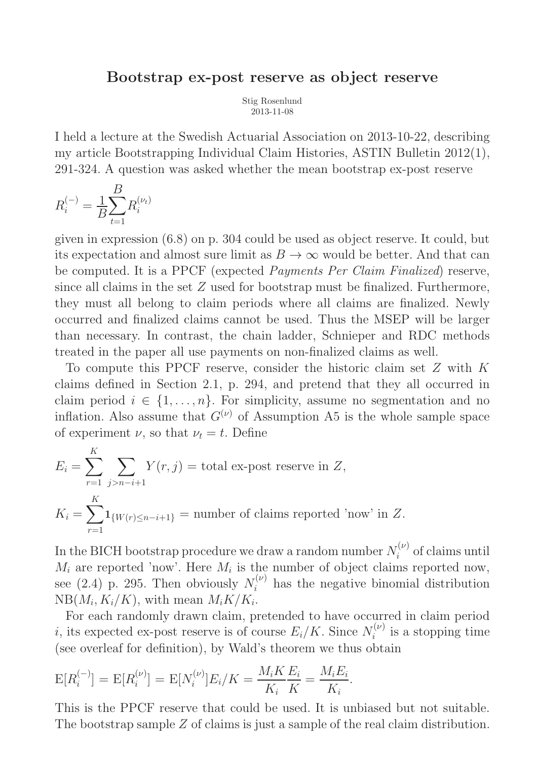## Bootstrap ex-post reserve as object reserve

Stig Rosenlund 2013-11-08

I held a lecture at the Swedish Actuarial Association on 2013-10-22, describing my article Bootstrapping Individual Claim Histories, ASTIN Bulletin 2012(1), 291-324. A question was asked whether the mean bootstrap ex-post reserve

$$
R_i^{(-)} = \frac{1}{B} \sum_{t=1}^{B} R_i^{(\nu_t)}
$$

given in expression (6.8) on p. 304 could be used as object reserve. It could, but its expectation and almost sure limit as  $B \to \infty$  would be better. And that can be computed. It is a PPCF (expected Payments Per Claim Finalized) reserve, since all claims in the set Z used for bootstrap must be finalized. Furthermore, they must all belong to claim periods where all claims are finalized. Newly occurred and finalized claims cannot be used. Thus the MSEP will be larger than necessary. In contrast, the chain ladder, Schnieper and RDC methods treated in the paper all use payments on non-finalized claims as well.

To compute this PPCF reserve, consider the historic claim set Z with K claims defined in Section 2.1, p. 294, and pretend that they all occurred in claim period  $i \in \{1, \ldots, n\}$ . For simplicity, assume no segmentation and no inflation. Also assume that  $G^{(\nu)}$  of Assumption A5 is the whole sample space of experiment  $\nu$ , so that  $\nu_t = t$ . Define

$$
E_i = \sum_{r=1}^{K} \sum_{j>n-i+1} Y(r, j) = \text{total ex-post reserve in } Z,
$$
  

$$
K_i = \sum_{r=1}^{K} \mathbf{1}_{\{W(r) \le n-i+1\}} = \text{number of claims reported 'now' in } Z.
$$

In the BICH bootstrap procedure we draw a random number  $N_i^{(\nu)}$  $i^{(\nu)}$  of claims until  $M_i$  are reported 'now'. Here  $M_i$  is the number of object claims reported now, see (2.4) p. 295. Then obviously  $N_i^{(\nu)}$  $i^{(\nu)}$  has the negative binomial distribution  $NB(M_i, K_i/K)$ , with mean  $M_iK/K_i$ .

For each randomly drawn claim, pretended to have occurred in claim period *i*, its expected ex-post reserve is of course  $E_i/K$ . Since  $N_i^{(\nu)}$  $i^{(\nu)}$  is a stopping time (see overleaf for definition), by Wald's theorem we thus obtain

$$
E[R_i^{(-)}] = E[R_i^{(\nu)}] = E[N_i^{(\nu)}]E_i/K = \frac{M_iK}{K_i}\frac{E_i}{K} = \frac{M_iE_i}{K_i}.
$$

This is the PPCF reserve that could be used. It is unbiased but not suitable. The bootstrap sample Z of claims is just a sample of the real claim distribution.